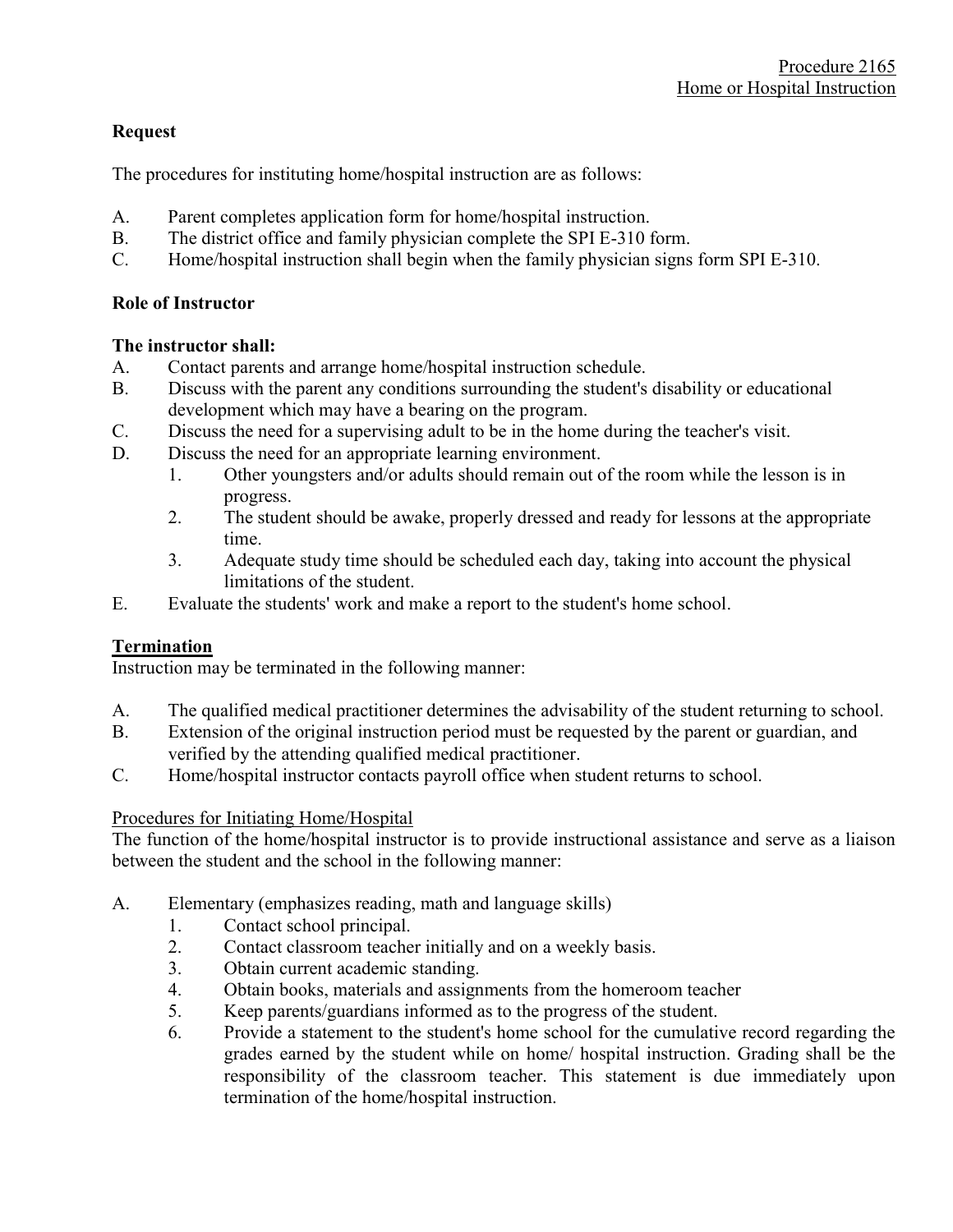### Request

The procedures for instituting home/hospital instruction are as follows:

- A. Parent completes application form for home/hospital instruction.
- B. The district office and family physician complete the SPI E-310 form.
- C. Home/hospital instruction shall begin when the family physician signs form SPI E-310.

#### Role of Instructor

### The instructor shall:

- A. Contact parents and arrange home/hospital instruction schedule.
- B. Discuss with the parent any conditions surrounding the student's disability or educational development which may have a bearing on the program.
- C. Discuss the need for a supervising adult to be in the home during the teacher's visit.
- D. Discuss the need for an appropriate learning environment.
	- 1. Other youngsters and/or adults should remain out of the room while the lesson is in progress.
	- 2. The student should be awake, properly dressed and ready for lessons at the appropriate time.
	- 3. Adequate study time should be scheduled each day, taking into account the physical limitations of the student.
- E. Evaluate the students' work and make a report to the student's home school.

## Termination

Instruction may be terminated in the following manner:

- A. The qualified medical practitioner determines the advisability of the student returning to school.
- B. Extension of the original instruction period must be requested by the parent or guardian, and verified by the attending qualified medical practitioner.
- C. Home/hospital instructor contacts payroll office when student returns to school.

## Procedures for Initiating Home/Hospital

The function of the home/hospital instructor is to provide instructional assistance and serve as a liaison between the student and the school in the following manner:

- A. Elementary (emphasizes reading, math and language skills)
	- 1. Contact school principal.
	- 2. Contact classroom teacher initially and on a weekly basis.
	- 3. Obtain current academic standing.
	- 4. Obtain books, materials and assignments from the homeroom teacher
	- 5. Keep parents/guardians informed as to the progress of the student.
	- 6. Provide a statement to the student's home school for the cumulative record regarding the grades earned by the student while on home/ hospital instruction. Grading shall be the responsibility of the classroom teacher. This statement is due immediately upon termination of the home/hospital instruction.